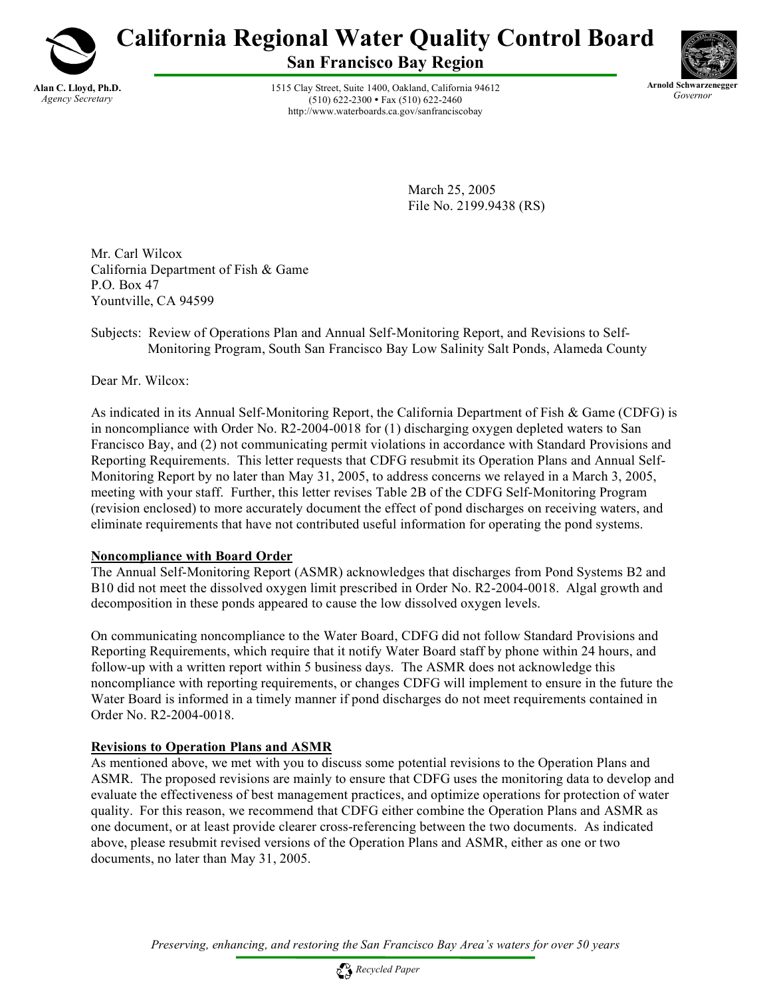

# **California Regional Water Quality Control Board**

**San Francisco Bay Region**

1515 Clay Street, Suite 1400, Oakland, California 94612  $(510) 622 - 2300$  • Fax  $(510) 622 - 2460$ http://www.waterboards.ca.gov/sanfranciscobay



March 25, 2005 File No. 2199.9438 (RS)

Mr. Carl Wilcox California Department of Fish & Game P.O. Box 47 Yountville, CA 94599

#### Subjects: Review of Operations Plan and Annual Self-Monitoring Report, and Revisions to Self-Monitoring Program, South San Francisco Bay Low Salinity Salt Ponds, Alameda County

Dear Mr. Wilcox:

As indicated in its Annual Self-Monitoring Report, the California Department of Fish & Game (CDFG) is in noncompliance with Order No. R2-2004-0018 for (1) discharging oxygen depleted waters to San Francisco Bay, and (2) not communicating permit violations in accordance with Standard Provisions and Reporting Requirements. This letter requests that CDFG resubmit its Operation Plans and Annual Self-Monitoring Report by no later than May 31, 2005, to address concerns we relayed in a March 3, 2005, meeting with your staff. Further, this letter revises Table 2B of the CDFG Self-Monitoring Program (revision enclosed) to more accurately document the effect of pond discharges on receiving waters, and eliminate requirements that have not contributed useful information for operating the pond systems.

## **Noncompliance with Board Order**

The Annual Self-Monitoring Report (ASMR) acknowledges that discharges from Pond Systems B2 and B10 did not meet the dissolved oxygen limit prescribed in Order No. R2-2004-0018. Algal growth and decomposition in these ponds appeared to cause the low dissolved oxygen levels.

On communicating noncompliance to the Water Board, CDFG did not follow Standard Provisions and Reporting Requirements, which require that it notify Water Board staff by phone within 24 hours, and follow-up with a written report within 5 business days. The ASMR does not acknowledge this noncompliance with reporting requirements, or changes CDFG will implement to ensure in the future the Water Board is informed in a timely manner if pond discharges do not meet requirements contained in Order No. R2-2004-0018.

## **Revisions to Operation Plans and ASMR**

As mentioned above, we met with you to discuss some potential revisions to the Operation Plans and ASMR. The proposed revisions are mainly to ensure that CDFG uses the monitoring data to develop and evaluate the effectiveness of best management practices, and optimize operations for protection of water quality. For this reason, we recommend that CDFG either combine the Operation Plans and ASMR as one document, or at least provide clearer cross-referencing between the two documents. As indicated above, please resubmit revised versions of the Operation Plans and ASMR, either as one or two documents, no later than May 31, 2005.

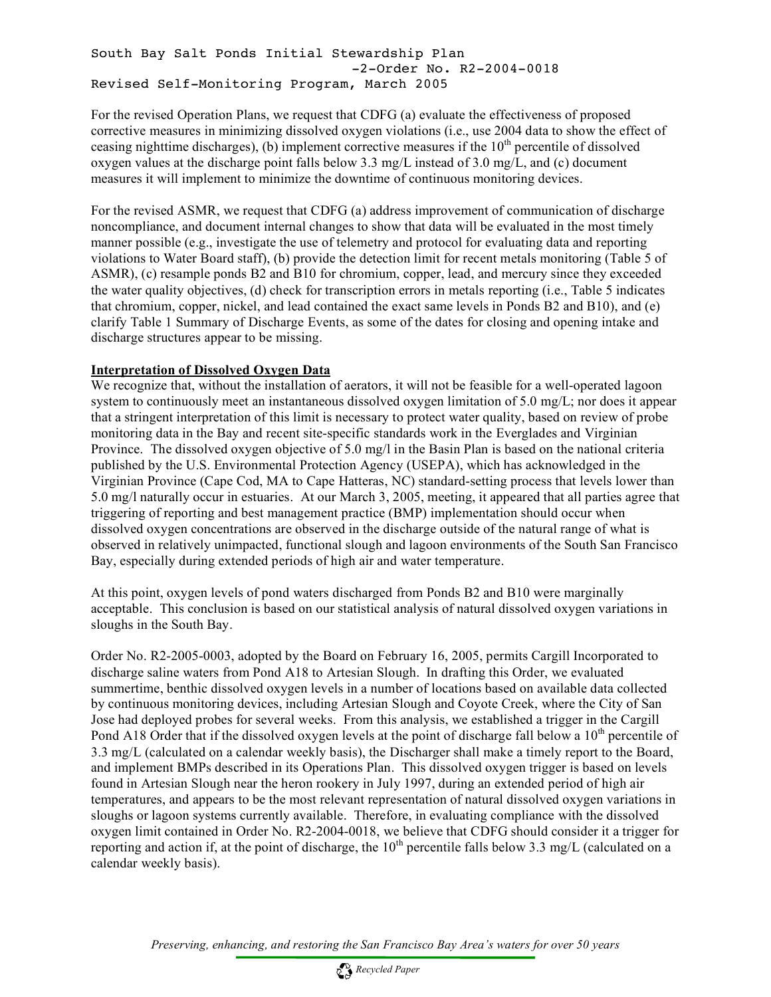#### South Bay Salt Ponds Initial Stewardship Plan -2-Order No. R2-2004-0018 Revised Self-Monitoring Program, March 2005

For the revised Operation Plans, we request that CDFG (a) evaluate the effectiveness of proposed corrective measures in minimizing dissolved oxygen violations (i.e., use 2004 data to show the effect of ceasing nighttime discharges), (b) implement corrective measures if the  $10<sup>th</sup>$  percentile of dissolved oxygen values at the discharge point falls below 3.3 mg/L instead of 3.0 mg/L, and (c) document measures it will implement to minimize the downtime of continuous monitoring devices.

For the revised ASMR, we request that CDFG (a) address improvement of communication of discharge noncompliance, and document internal changes to show that data will be evaluated in the most timely manner possible (e.g., investigate the use of telemetry and protocol for evaluating data and reporting violations to Water Board staff), (b) provide the detection limit for recent metals monitoring (Table 5 of ASMR), (c) resample ponds B2 and B10 for chromium, copper, lead, and mercury since they exceeded the water quality objectives, (d) check for transcription errors in metals reporting (i.e., Table 5 indicates that chromium, copper, nickel, and lead contained the exact same levels in Ponds B2 and B10), and (e) clarify Table 1 Summary of Discharge Events, as some of the dates for closing and opening intake and discharge structures appear to be missing.

#### **Interpretation of Dissolved Oxygen Data**

We recognize that, without the installation of aerators, it will not be feasible for a well-operated lagoon system to continuously meet an instantaneous dissolved oxygen limitation of 5.0 mg/L; nor does it appear that a stringent interpretation of this limit is necessary to protect water quality, based on review of probe monitoring data in the Bay and recent site-specific standards work in the Everglades and Virginian Province. The dissolved oxygen objective of 5.0 mg/l in the Basin Plan is based on the national criteria published by the U.S. Environmental Protection Agency (USEPA), which has acknowledged in the Virginian Province (Cape Cod, MA to Cape Hatteras, NC) standard-setting process that levels lower than 5.0 mg/l naturally occur in estuaries. At our March 3, 2005, meeting, it appeared that all parties agree that triggering of reporting and best management practice (BMP) implementation should occur when dissolved oxygen concentrations are observed in the discharge outside of the natural range of what is observed in relatively unimpacted, functional slough and lagoon environments of the South San Francisco Bay, especially during extended periods of high air and water temperature.

At this point, oxygen levels of pond waters discharged from Ponds B2 and B10 were marginally acceptable. This conclusion is based on our statistical analysis of natural dissolved oxygen variations in sloughs in the South Bay.

Order No. R2-2005-0003, adopted by the Board on February 16, 2005, permits Cargill Incorporated to discharge saline waters from Pond A18 to Artesian Slough. In drafting this Order, we evaluated summertime, benthic dissolved oxygen levels in a number of locations based on available data collected by continuous monitoring devices, including Artesian Slough and Coyote Creek, where the City of San Jose had deployed probes for several weeks. From this analysis, we established a trigger in the Cargill Pond A18 Order that if the dissolved oxygen levels at the point of discharge fall below a 10<sup>th</sup> percentile of 3.3 mg/L (calculated on a calendar weekly basis), the Discharger shall make a timely report to the Board, and implement BMPs described in its Operations Plan. This dissolved oxygen trigger is based on levels found in Artesian Slough near the heron rookery in July 1997, during an extended period of high air temperatures, and appears to be the most relevant representation of natural dissolved oxygen variations in sloughs or lagoon systems currently available. Therefore, in evaluating compliance with the dissolved oxygen limit contained in Order No. R2-2004-0018, we believe that CDFG should consider it a trigger for reporting and action if, at the point of discharge, the  $10^{th}$  percentile falls below 3.3 mg/L (calculated on a calendar weekly basis).

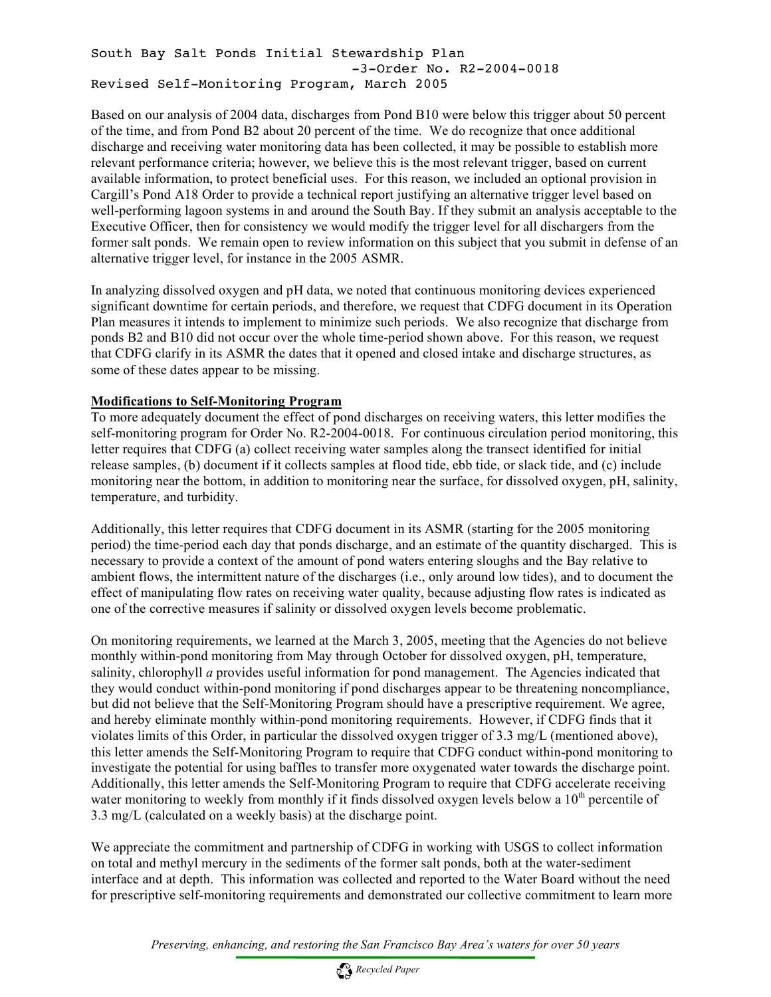#### South Bay Salt Ponds Initial Stewardship Plan -3-Order No. R2-2004-0018 Revised Self-Monitoring Program, March 2005

Based on our analysis of 2004 data, discharges from Pond B10 were below this trigger about 50 percent of the time, and from Pond B2 about 20 percent of the time. We do recognize that once additional discharge and receiving water monitoring data has been collected, it may be possible to establish more relevant performance criteria; however, we believe this is the most relevant trigger, based on current available information, to protect beneficial uses. For this reason, we included an optional provision in Cargill's Pond A18 Order to provide a technical report justifying an alternative trigger level based on well-performing lagoon systems in and around the South Bay. If they submit an analysis acceptable to the Executive Officer, then for consistency we would modify the trigger level for all dischargers from the former salt ponds. We remain open to review information on this subject that you submit in defense of an alternative trigger level, for instance in the 2005 ASMR.

In analyzing dissolved oxygen and pH data, we noted that continuous monitoring devices experienced significant downtime for certain periods, and therefore, we request that CDFG document in its Operation Plan measures it intends to implement to minimize such periods. We also recognize that discharge from ponds B2 and B10 did not occur over the whole time-period shown above. For this reason, we request that CDFG clarify in its ASMR the dates that it opened and closed intake and discharge structures, as some of these dates appear to be missing.

## **Modifications to Self-Monitoring Program**

To more adequately document the effect of pond discharges on receiving waters, this letter modifies the self-monitoring program for Order No. R2-2004-0018. For continuous circulation period monitoring, this letter requires that CDFG (a) collect receiving water samples along the transect identified for initial release samples, (b) document if it collects samples at flood tide, ebb tide, or slack tide, and (c) include monitoring near the bottom, in addition to monitoring near the surface, for dissolved oxygen, pH, salinity, temperature, and turbidity.

Additionally, this letter requires that CDFG document in its ASMR (starting for the 2005 monitoring period) the time-period each day that ponds discharge, and an estimate of the quantity discharged. This is necessary to provide a context of the amount of pond waters entering sloughs and the Bay relative to ambient flows, the intermittent nature of the discharges (i.e., only around low tides), and to document the effect of manipulating flow rates on receiving water quality, because adjusting flow rates is indicated as one of the corrective measures if salinity or dissolved oxygen levels become problematic.

On monitoring requirements, we learned at the March 3, 2005, meeting that the Agencies do not believe monthly within-pond monitoring from May through October for dissolved oxygen, pH, temperature, salinity, chlorophyll *a* provides useful information for pond management. The Agencies indicated that they would conduct within-pond monitoring if pond discharges appear to be threatening noncompliance, but did not believe that the Self-Monitoring Program should have a prescriptive requirement. We agree, and hereby eliminate monthly within-pond monitoring requirements. However, if CDFG finds that it violates limits of this Order, in particular the dissolved oxygen trigger of 3.3 mg/L (mentioned above), this letter amends the Self-Monitoring Program to require that CDFG conduct within-pond monitoring to investigate the potential for using baffles to transfer more oxygenated water towards the discharge point. Additionally, this letter amends the Self-Monitoring Program to require that CDFG accelerate receiving water monitoring to weekly from monthly if it finds dissolved oxygen levels below a  $10<sup>th</sup>$  percentile of 3.3 mg/L (calculated on a weekly basis) at the discharge point.

We appreciate the commitment and partnership of CDFG in working with USGS to collect information on total and methyl mercury in the sediments of the former salt ponds, both at the water-sediment interface and at depth. This information was collected and reported to the Water Board without the need for prescriptive self-monitoring requirements and demonstrated our collective commitment to learn more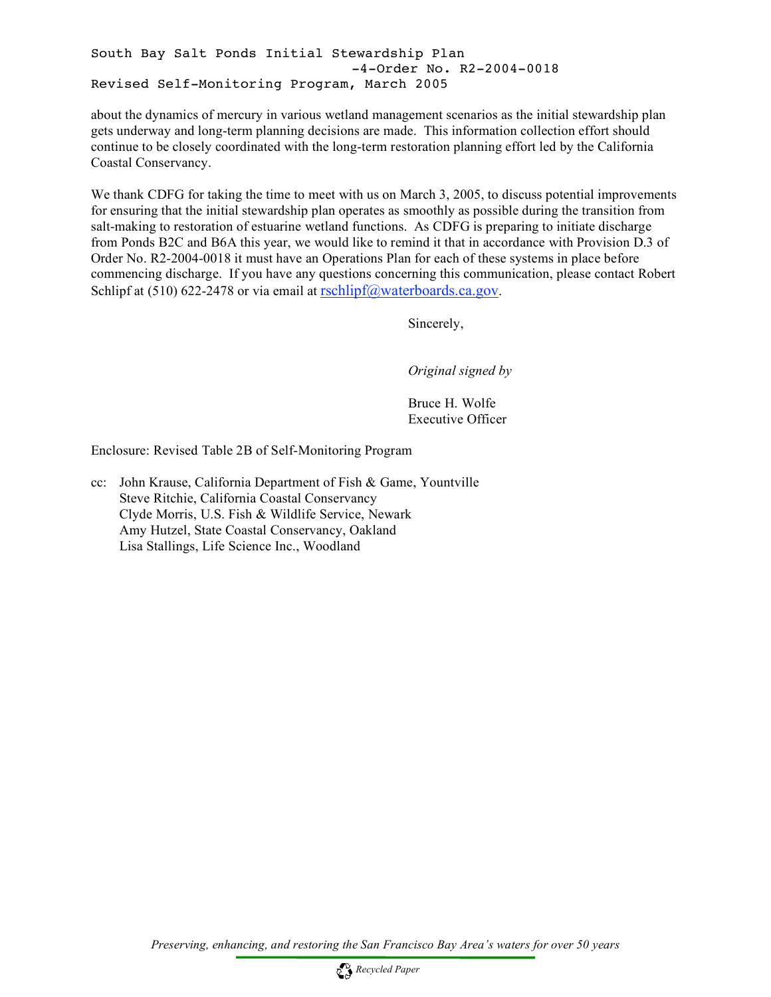```
South Bay Salt Ponds Initial Stewardship Plan
                               -4-Order No. R2-2004-0018
Revised Self-Monitoring Program, March 2005
```
about the dynamics of mercury in various wetland management scenarios as the initial stewardship plan gets underway and long-term planning decisions are made. This information collection effort should continue to be closely coordinated with the long-term restoration planning effort led by the California Coastal Conservancy.

We thank CDFG for taking the time to meet with us on March 3, 2005, to discuss potential improvements for ensuring that the initial stewardship plan operates as smoothly as possible during the transition from salt-making to restoration of estuarine wetland functions. As CDFG is preparing to initiate discharge from Ponds B2C and B6A this year, we would like to remind it that in accordance with Provision D.3 of Order No. R2-2004-0018 it must have an Operations Plan for each of these systems in place before commencing discharge. If you have any questions concerning this communication, please contact Robert Schlipf at  $(510)$  622-2478 or via email at rschlipf@waterboards.ca.gov.

Sincerely,

*Original signed by*

Bruce H. Wolfe Executive Officer

Enclosure: Revised Table 2B of Self-Monitoring Program

cc: John Krause, California Department of Fish & Game, Yountville Steve Ritchie, California Coastal Conservancy Clyde Morris, U.S. Fish & Wildlife Service, Newark Amy Hutzel, State Coastal Conservancy, Oakland Lisa Stallings, Life Science Inc., Woodland

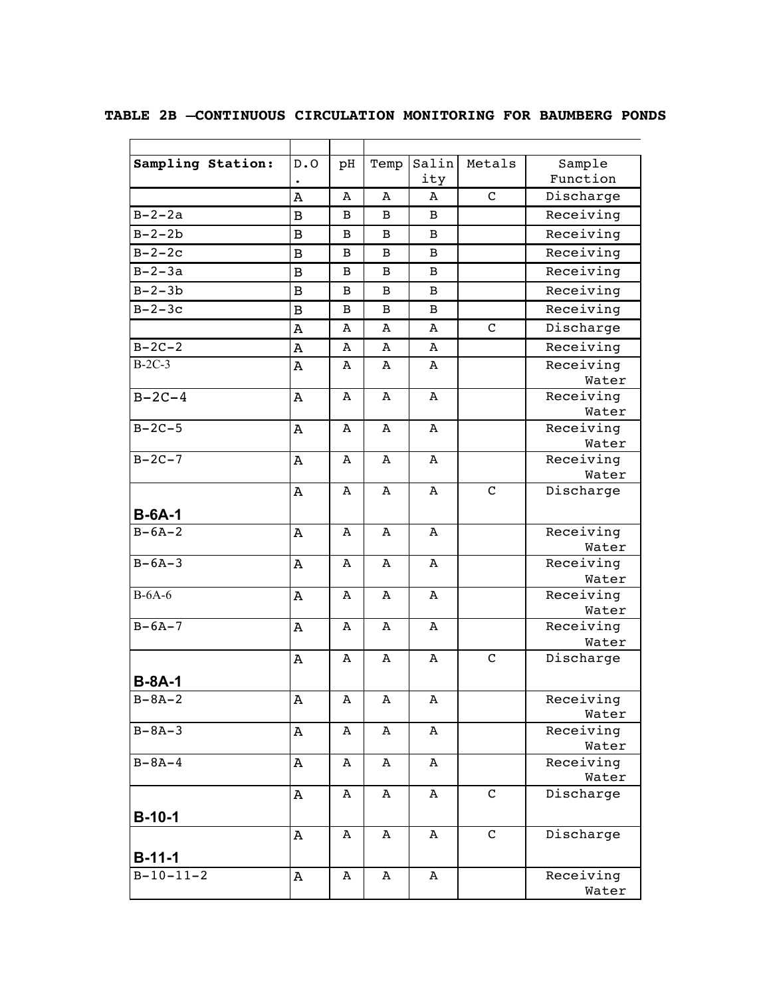| Sampling Station: | $\texttt{D.O}$          | pH           | Temp         | Salin | Metals       | Sample             |
|-------------------|-------------------------|--------------|--------------|-------|--------------|--------------------|
|                   |                         |              |              | ity   |              | Function           |
|                   | $\overline{\mathbf{A}}$ | Α            | Α            | Α     | $\mathbf{C}$ | Discharge          |
| $B-2-2a$          | $\, {\bf B}$            | B            | B            | В     |              | Receiving          |
| $B-2-2b$          | $\overline{B}$          | B            | B            | В     |              | Receiving          |
| $B-2-2c$          | $\overline{B}$          | B            | B            | B     |              | Receiving          |
| $B-2-3a$          | $\overline{B}$          | В            | B            | В     |              | Receiving          |
| $B-2-3b$          | $\overline{B}$          | B            | B            | В     |              | Receiving          |
| $B-2-3c$          | $\overline{B}$          | B            | B            | В     |              | Receiving          |
|                   | A                       | Α            | Α            | А     | $\mathbf{C}$ | Discharge          |
| $B-2C-2$          | $\mathbf A$             | Α            | Α            | Α     |              | Receiving          |
| $B-2C-3$          | A                       | A            | Α            | Α     |              | Receiving          |
|                   |                         |              |              |       |              | Water              |
| $B-2C-4$          | A                       | Α            | A            | Α     |              | Receiving          |
|                   |                         |              |              |       |              | Water              |
| $B-2C-5$          | Α                       | A            | Α            | Α     |              | Receiving<br>Water |
| $B-2C-7$          | Α                       | A            | A            | A     |              | Receiving          |
|                   |                         |              |              |       |              | Water              |
|                   | $\Lambda$               | $\mathbf{A}$ | Α            | A     | $\mathsf{C}$ | Discharge          |
| $B-6A-1$          |                         |              |              |       |              |                    |
| $B-6A-2$          | Α                       | Α            | Α            | Α     |              | Receiving          |
|                   |                         |              |              |       |              | Water              |
| $B - 6A - 3$      | Α                       | А            | Α            | Α     |              | Receiving          |
|                   |                         |              |              |       |              | Water              |
| $B-6A-6$          | Α                       | A            | A            | A     |              | Receiving          |
| $B-6A-7$          |                         | A            | A            | Α     |              | Water<br>Receiving |
|                   | A                       |              |              |       |              | Water              |
|                   | $\mathbf A$             | A            | $\mathbf{A}$ | Α     | $\mathbf C$  | Discharge          |
| <b>B-8A-1</b>     |                         |              |              |       |              |                    |
| $B-8A-2$          | Α                       | А            | А            | А     |              | Receiving          |
|                   |                         |              |              |       |              | Water              |
| $B - 8A - 3$      | Α                       | Α            | Α            | Α     |              | Receiving          |
|                   |                         |              |              |       |              | Water              |
| $B - 8A - 4$      | Α                       | Α            | Α            | Α     |              | Receiving          |
|                   |                         |              |              |       |              | Water              |
|                   | A                       | Α            | Α            | Α     | $\mathbf C$  | Discharge          |
| $B-10-1$          |                         |              |              |       |              |                    |
|                   | A                       | Α            | Α            | Α     | $\mathbf C$  | Discharge          |
| $B-11-1$          |                         |              |              |       |              |                    |
| $B-10-11-2$       | Λ                       | Α            | Α            | Α     |              | Receiving          |
|                   |                         |              |              |       |              | Water              |

**TABLE 2B –CONTINUOUS CIRCULATION MONITORING FOR BAUMBERG PONDS**